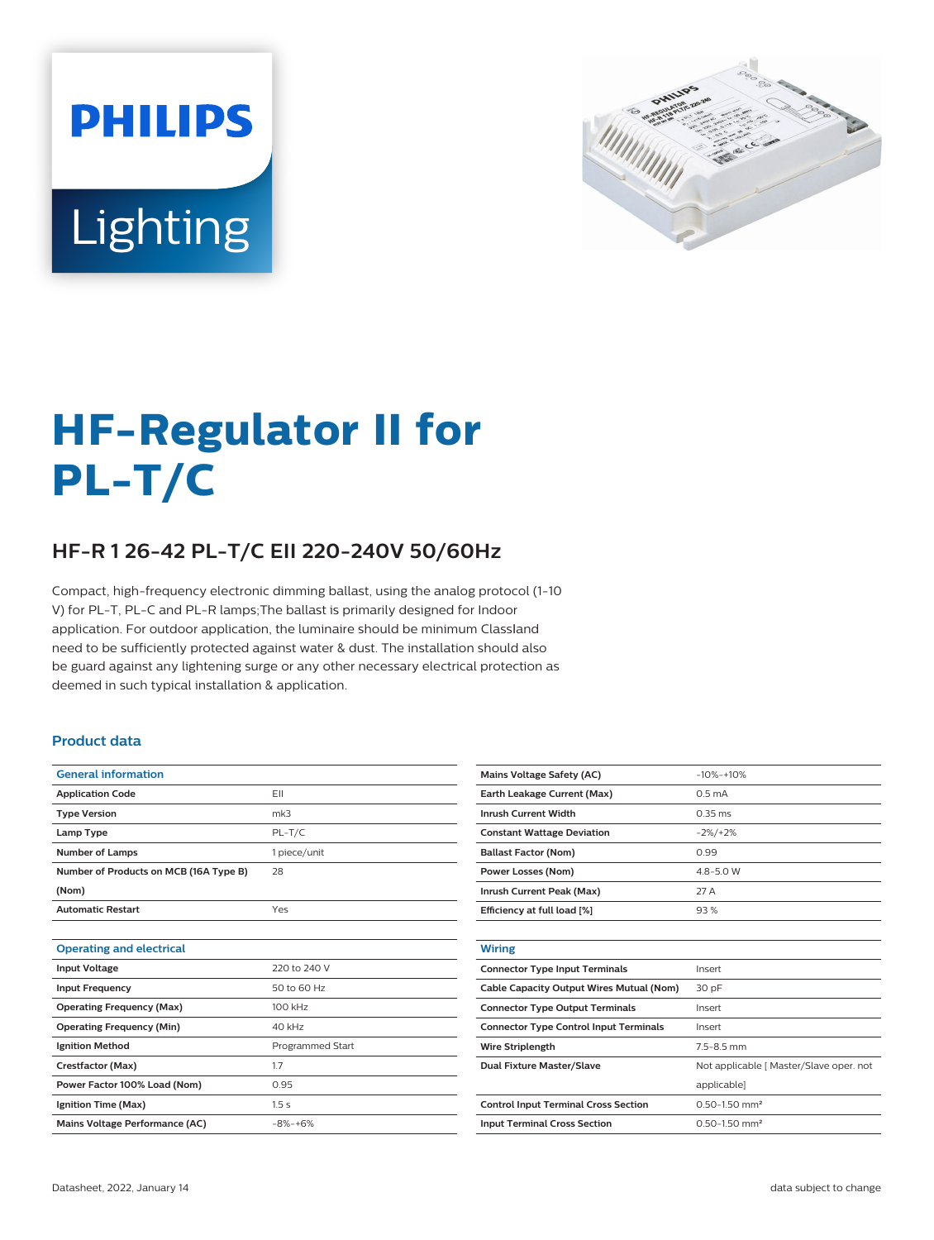



# **HF-Regulator II for PL-T/C**

## **HF-R 1 26-42 PL-T/C EII 220-240V 50/60Hz**

Compact, high-frequency electronic dimming ballast, using the analog protocol (1-10 V) for PL-T, PL-C and PL-R lamps;The ballast is primarily designed for Indoor application. For outdoor application, the luminaire should be minimum Classland need to be sufficiently protected against water & dust. The installation should also be guard against any lightening surge or any other necessary electrical protection as deemed in such typical installation & application.

#### **Product data**

| <b>General information</b>             |                         |
|----------------------------------------|-------------------------|
| <b>Application Code</b>                | FII                     |
| <b>Type Version</b>                    | mk3                     |
| Lamp Type                              | $PL-T/C$                |
| <b>Number of Lamps</b>                 | 1 piece/unit            |
| Number of Products on MCB (16A Type B) | 28                      |
| (Nom)                                  |                         |
| <b>Automatic Restart</b>               | Yes                     |
|                                        |                         |
| <b>Operating and electrical</b>        |                         |
| <b>Input Voltage</b>                   | 220 to 240 V            |
| <b>Input Frequency</b>                 | 50 to 60 Hz             |
| <b>Operating Frequency (Max)</b>       | 100 kHz                 |
| <b>Operating Frequency (Min)</b>       | 40 kHz                  |
| <b>Ignition Method</b>                 | <b>Programmed Start</b> |
| Crestfactor (Max)                      | 1.7                     |
| Power Factor 100% Load (Nom)           | 0.95                    |
| Ignition Time (Max)                    | 1.5s                    |
| Mains Voltage Performance (AC)         | $-8% -+6%$              |
|                                        |                         |

| <b>Mains Voltage Safety (AC)</b>              | $-10% -10%$                             |
|-----------------------------------------------|-----------------------------------------|
| Earth Leakage Current (Max)                   | 0.5 <sub>m</sub> A                      |
| <b>Inrush Current Width</b>                   | $0.35$ ms                               |
| <b>Constant Wattage Deviation</b>             | $-2\%/+2\%$                             |
| <b>Ballast Factor (Nom)</b>                   | 0.99                                    |
| <b>Power Losses (Nom)</b>                     | $4.8 - 5.0 W$                           |
| Inrush Current Peak (Max)                     | 27 A                                    |
| Efficiency at full load [%]                   | 93%                                     |
|                                               |                                         |
| <b>Wiring</b>                                 |                                         |
| <b>Connector Type Input Terminals</b>         | Insert                                  |
| Cable Capacity Output Wires Mutual (Nom)      | 30 pF                                   |
| <b>Connector Type Output Terminals</b>        | Insert                                  |
| <b>Connector Type Control Input Terminals</b> | Insert                                  |
| <b>Wire Striplength</b>                       | $7.5 - 8.5$ mm                          |
| <b>Dual Fixture Master/Slave</b>              | Not applicable [ Master/Slave oper. not |
|                                               | applicable]                             |
| <b>Control Input Terminal Cross Section</b>   | $0.50 - 1.50$ mm <sup>2</sup>           |
| <b>Input Terminal Cross Section</b>           | $0.50 - 1.50$ mm <sup>2</sup>           |
|                                               |                                         |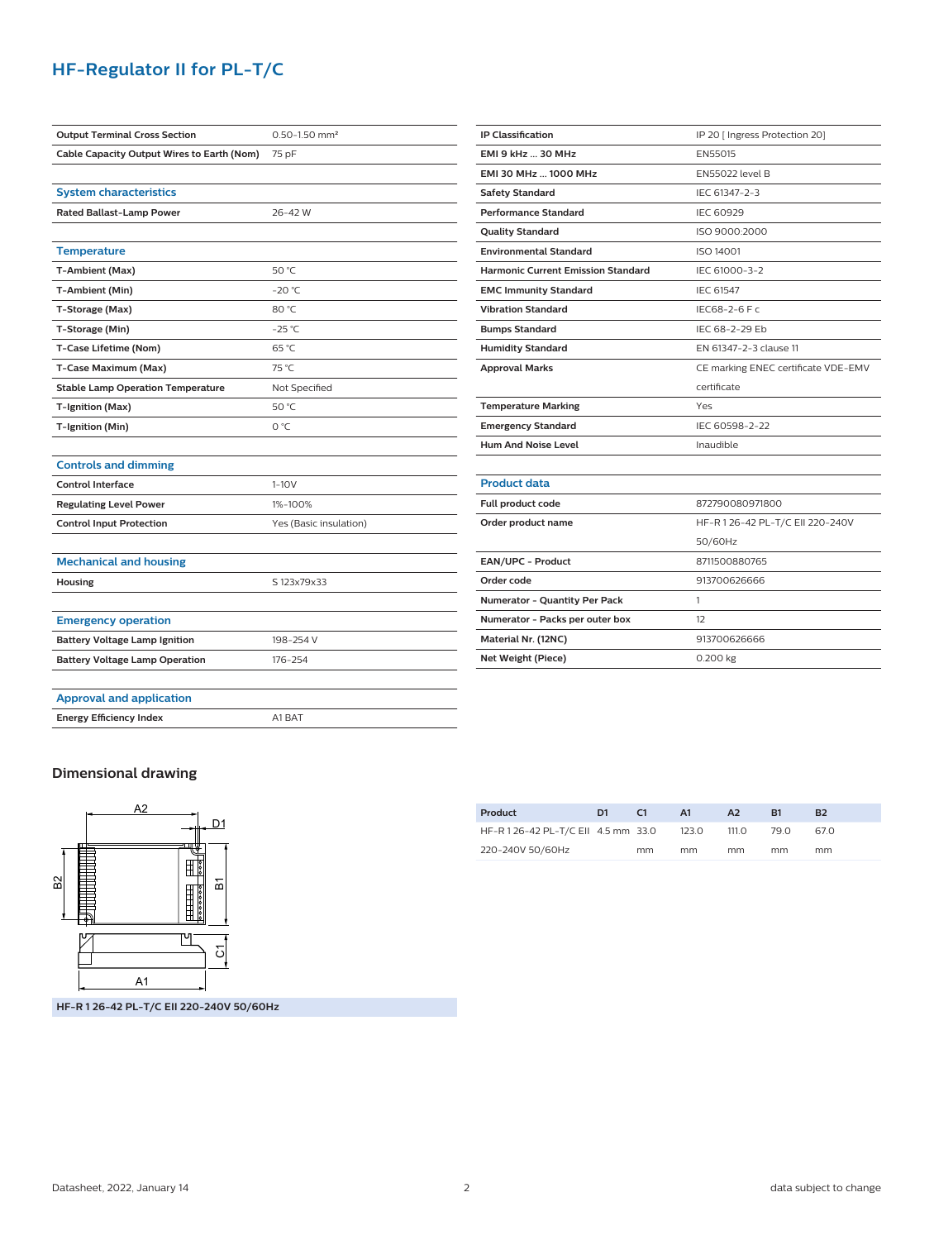### **HF-Regulator II for PL-T/C**

| <b>Output Terminal Cross Section</b>       | $0.50 - 1.50$ mm <sup>2</sup> |
|--------------------------------------------|-------------------------------|
| Cable Capacity Output Wires to Earth (Nom) | 75 pF                         |
|                                            |                               |
| <b>System characteristics</b>              |                               |
| <b>Rated Ballast-Lamp Power</b>            | 26-42W                        |
|                                            |                               |
| <b>Temperature</b>                         |                               |
| T-Ambient (Max)                            | 50 °C                         |
| T-Ambient (Min)                            | $-20 °C$                      |
| T-Storage (Max)                            | 80 °C                         |
| T-Storage (Min)                            | $-25 °C$                      |
| T-Case Lifetime (Nom)                      | 65 °C                         |
| T-Case Maximum (Max)                       | 75 °C                         |
| <b>Stable Lamp Operation Temperature</b>   | Not Specified                 |
| T-Ignition (Max)                           | 50 °C                         |
| T-Ignition (Min)                           | O °C                          |
|                                            |                               |
| <b>Controls and dimming</b>                |                               |
| <b>Control Interface</b>                   | $1-10V$                       |
| <b>Regulating Level Power</b>              | 1%-100%                       |
| <b>Control Input Protection</b>            | Yes (Basic insulation)        |
|                                            |                               |
| <b>Mechanical and housing</b>              |                               |
| Housing                                    | S 123x79x33                   |
|                                            |                               |
| <b>Emergency operation</b>                 |                               |
| <b>Battery Voltage Lamp Ignition</b>       | 198-254 V                     |
| <b>Battery Voltage Lamp Operation</b>      | 176-254                       |
|                                            |                               |
| <b>Approval and application</b>            |                               |
| <b>Energy Efficiency Index</b>             | A1 BAT                        |

| <b>IP Classification</b>                  | IP 20 [ Ingress Protection 20]      |
|-------------------------------------------|-------------------------------------|
| <b>EMI 9 kHz  30 MHz</b>                  | EN55015                             |
| EMI 30 MHz  1000 MHz                      | EN55022 level B                     |
| Safety Standard                           | IEC 61347-2-3                       |
| <b>Performance Standard</b>               | <b>IEC 60929</b>                    |
| <b>Quality Standard</b>                   | ISO 9000:2000                       |
| <b>Environmental Standard</b>             | <b>ISO 14001</b>                    |
| <b>Harmonic Current Emission Standard</b> | IEC 61000-3-2                       |
| <b>EMC Immunity Standard</b>              | <b>IEC 61547</b>                    |
| <b>Vibration Standard</b>                 | IEC68-2-6 F c                       |
| <b>Bumps Standard</b>                     | IEC 68-2-29 Eb                      |
| <b>Humidity Standard</b>                  | FN 61347-2-3 clause 11              |
| <b>Approval Marks</b>                     | CE marking ENEC certificate VDE-EMV |
|                                           | certificate                         |
| <b>Temperature Marking</b>                | Yes                                 |
|                                           |                                     |
| <b>Emergency Standard</b>                 | IEC 60598-2-22                      |
| <b>Hum And Noise Level</b>                | Inaudible                           |
|                                           |                                     |
| <b>Product data</b>                       |                                     |
| Full product code                         | 872790080971800                     |
| Order product name                        | HF-R 126-42 PL-T/C EII 220-240V     |
|                                           | 50/60Hz                             |
| EAN/UPC - Product                         | 8711500880765                       |
| Order code                                | 913700626666                        |
| Numerator - Quantity Per Pack             | 1                                   |
| Numerator - Packs per outer box           | 12                                  |
| Material Nr. (12NC)                       | 913700626666                        |

#### **Dimensional drawing**



**Product D1 C1 A1 A2 B1 B2** HF-R 1 26-42 PL-T/C EII 4.5 mm 33.0 220-240V 50/60Hz mm 123.0 mm 111.0 mm 79.0 mm 67.0 mm

**HF-R 1 26-42 PL-T/C EII 220-240V 50/60Hz**